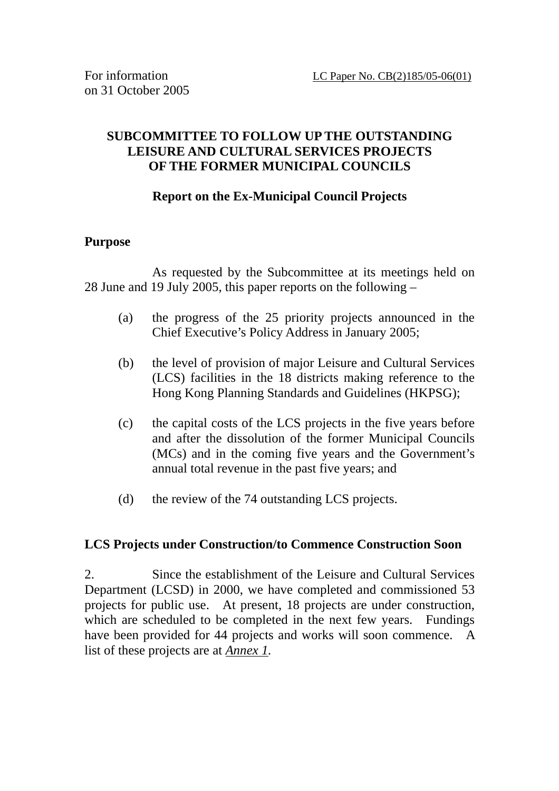### **SUBCOMMITTEE TO FOLLOW UP THE OUTSTANDING LEISURE AND CULTURAL SERVICES PROJECTS OF THE FORMER MUNICIPAL COUNCILS**

### **Report on the Ex-Municipal Council Projects**

### **Purpose**

 As requested by the Subcommittee at its meetings held on 28 June and 19 July 2005, this paper reports on the following –

- (a) the progress of the 25 priority projects announced in the Chief Executive's Policy Address in January 2005;
- (b) the level of provision of major Leisure and Cultural Services (LCS) facilities in the 18 districts making reference to the Hong Kong Planning Standards and Guidelines (HKPSG);
- (c) the capital costs of the LCS projects in the five years before and after the dissolution of the former Municipal Councils (MCs) and in the coming five years and the Government's annual total revenue in the past five years; and
- (d) the review of the 74 outstanding LCS projects.

### **LCS Projects under Construction/to Commence Construction Soon**

2. Since the establishment of the Leisure and Cultural Services Department (LCSD) in 2000, we have completed and commissioned 53 projects for public use. At present, 18 projects are under construction, which are scheduled to be completed in the next few years. Fundings have been provided for 44 projects and works will soon commence. A list of these projects are at *Annex 1.*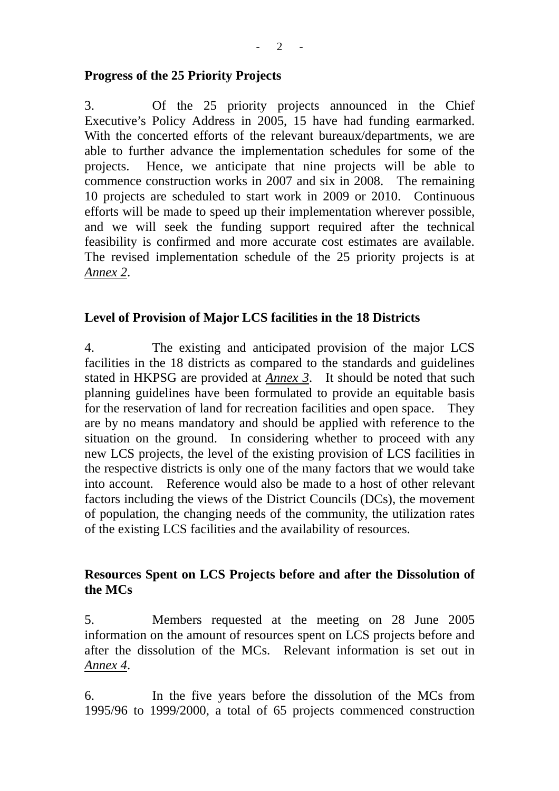#### **Progress of the 25 Priority Projects**

3. Of the 25 priority projects announced in the Chief Executive's Policy Address in 2005, 15 have had funding earmarked. With the concerted efforts of the relevant bureaux/departments, we are able to further advance the implementation schedules for some of the projects. Hence, we anticipate that nine projects will be able to commence construction works in 2007 and six in 2008. The remaining 10 projects are scheduled to start work in 2009 or 2010. Continuous efforts will be made to speed up their implementation wherever possible, and we will seek the funding support required after the technical feasibility is confirmed and more accurate cost estimates are available. The revised implementation schedule of the 25 priority projects is at *Annex 2*.

### **Level of Provision of Major LCS facilities in the 18 Districts**

4. The existing and anticipated provision of the major LCS facilities in the 18 districts as compared to the standards and guidelines stated in HKPSG are provided at *Annex 3*. It should be noted that such planning guidelines have been formulated to provide an equitable basis for the reservation of land for recreation facilities and open space. They are by no means mandatory and should be applied with reference to the situation on the ground. In considering whether to proceed with any new LCS projects, the level of the existing provision of LCS facilities in the respective districts is only one of the many factors that we would take into account. Reference would also be made to a host of other relevant factors including the views of the District Councils (DCs), the movement of population, the changing needs of the community, the utilization rates of the existing LCS facilities and the availability of resources.

### **Resources Spent on LCS Projects before and after the Dissolution of the MCs**

5. Members requested at the meeting on 28 June 2005 information on the amount of resources spent on LCS projects before and after the dissolution of the MCs. Relevant information is set out in *Annex 4*.

6. In the five years before the dissolution of the MCs from 1995/96 to 1999/2000, a total of 65 projects commenced construction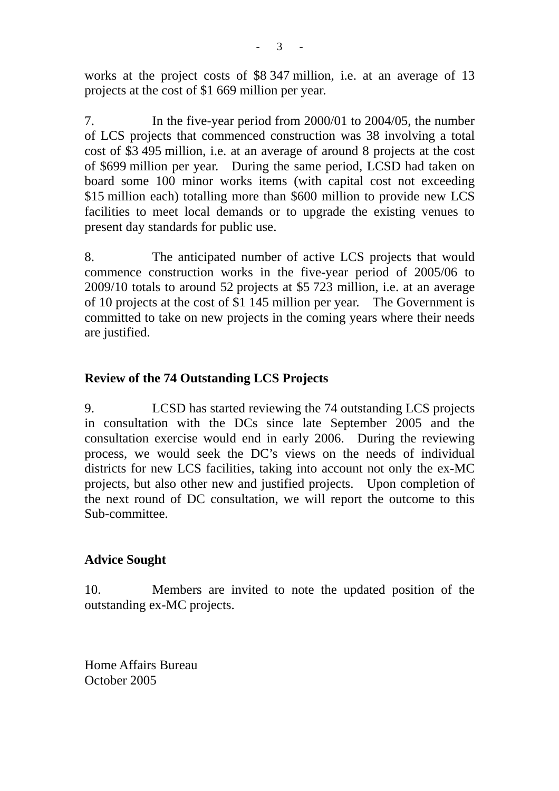works at the project costs of \$8 347 million, i.e. at an average of 13 projects at the cost of \$1 669 million per year.

7. In the five-year period from 2000/01 to 2004/05, the number of LCS projects that commenced construction was 38 involving a total cost of \$3 495 million, i.e. at an average of around 8 projects at the cost of \$699 million per year. During the same period, LCSD had taken on board some 100 minor works items (with capital cost not exceeding \$15 million each) totalling more than \$600 million to provide new LCS facilities to meet local demands or to upgrade the existing venues to present day standards for public use.

8. The anticipated number of active LCS projects that would commence construction works in the five-year period of 2005/06 to 2009/10 totals to around 52 projects at \$5 723 million, i.e. at an average of 10 projects at the cost of \$1 145 million per year. The Government is committed to take on new projects in the coming years where their needs are justified.

### **Review of the 74 Outstanding LCS Projects**

9. LCSD has started reviewing the 74 outstanding LCS projects in consultation with the DCs since late September 2005 and the consultation exercise would end in early 2006. During the reviewing process, we would seek the DC's views on the needs of individual districts for new LCS facilities, taking into account not only the ex-MC projects, but also other new and justified projects. Upon completion of the next round of DC consultation, we will report the outcome to this Sub-committee.

### **Advice Sought**

10. Members are invited to note the updated position of the outstanding ex-MC projects.

Home Affairs Bureau October 2005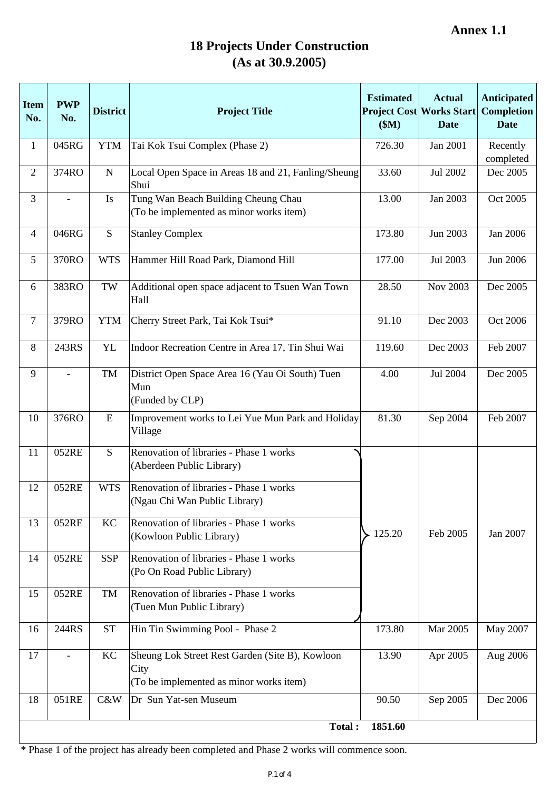## **18 Projects Under Construction (As at 30.9.2005)**

| <b>Item</b><br>No. | <b>PWP</b><br>No.        | <b>District</b> | <b>Project Title</b>                                                           | <b>Estimated</b><br>\$M\$ | <b>Actual</b><br><b>Project Cost Works Start</b><br><b>Date</b> | <b>Anticipated</b><br><b>Completion</b><br><b>Date</b> |
|--------------------|--------------------------|-----------------|--------------------------------------------------------------------------------|---------------------------|-----------------------------------------------------------------|--------------------------------------------------------|
| $\mathbf{1}$       | 045RG                    | <b>YTM</b>      | Tai Kok Tsui Complex (Phase 2)                                                 | 726.30                    | Jan 2001                                                        | Recently<br>completed                                  |
| $\overline{2}$     | 374RO                    | ${\bf N}$       | Local Open Space in Areas 18 and 21, Fanling/Sheung<br>Shui                    | 33.60                     | Jul 2002                                                        | Dec 2005                                               |
| 3                  | $\blacksquare$           | Is              | Tung Wan Beach Building Cheung Chau<br>(To be implemented as minor works item) | 13.00                     | Jan 2003                                                        | Oct 2005                                               |
| $\overline{4}$     | 046RG                    | S               | <b>Stanley Complex</b>                                                         | 173.80                    | Jun 2003                                                        | Jan 2006                                               |
| 5                  | 370RO                    | <b>WTS</b>      | Hammer Hill Road Park, Diamond Hill                                            | 177.00                    | Jul 2003                                                        | Jun 2006                                               |
| 6                  | 383RO                    | TW              | Additional open space adjacent to Tsuen Wan Town<br>Hall                       | 28.50                     | <b>Nov 2003</b>                                                 | Dec 2005                                               |
| $\tau$             | 379RO                    | <b>YTM</b>      | Cherry Street Park, Tai Kok Tsui*                                              | 91.10                     | Dec 2003                                                        | Oct 2006                                               |
| $\,8\,$            | 243RS                    | <b>YL</b>       | Indoor Recreation Centre in Area 17, Tin Shui Wai                              | 119.60                    | Dec 2003                                                        | Feb 2007                                               |
| 9                  | $\blacksquare$           | TM              | District Open Space Area 16 (Yau Oi South) Tuen<br>Mun<br>(Funded by CLP)      | 4.00                      | Jul 2004                                                        | Dec 2005                                               |
| 10                 | 376RO                    | ${\bf E}$       | Improvement works to Lei Yue Mun Park and Holiday<br>Village                   | 81.30                     | Sep 2004                                                        | Feb 2007                                               |
| 11                 | 052RE                    | S               | Renovation of libraries - Phase 1 works<br>(Aberdeen Public Library)           |                           |                                                                 |                                                        |
| 12                 | 052RE                    | <b>WTS</b>      | Renovation of libraries - Phase 1 works<br>(Ngau Chi Wan Public Library)       |                           |                                                                 |                                                        |
| 13                 | 052RE                    | KC              | Renovation of libraries - Phase 1 works<br>(Kowloon Public Library)            | 125.20                    | Feb 2005                                                        | Jan 2007                                               |
| 14                 | 052RE                    | <b>SSP</b>      | Renovation of libraries - Phase 1 works<br>(Po On Road Public Library)         |                           |                                                                 |                                                        |
| 15                 | 052RE                    | TM              | Renovation of libraries - Phase 1 works<br>(Tuen Mun Public Library)           |                           |                                                                 |                                                        |
| 16                 | 244RS                    | <b>ST</b>       | Hin Tin Swimming Pool - Phase 2                                                | 173.80                    | Mar 2005                                                        | May 2007                                               |
| 17                 | $\overline{\phantom{a}}$ | KC              | Sheung Lok Street Rest Garden (Site B), Kowloon<br>City                        | 13.90                     | Apr 2005                                                        | Aug 2006                                               |
| 18                 | 051RE                    | C&W             | (To be implemented as minor works item)<br>Dr Sun Yat-sen Museum               | 90.50                     | Sep 2005                                                        | Dec 2006                                               |
|                    |                          |                 | Total:                                                                         | 1851.60                   |                                                                 |                                                        |

\* Phase 1 of the project has already been completed and Phase 2 works will commence soon.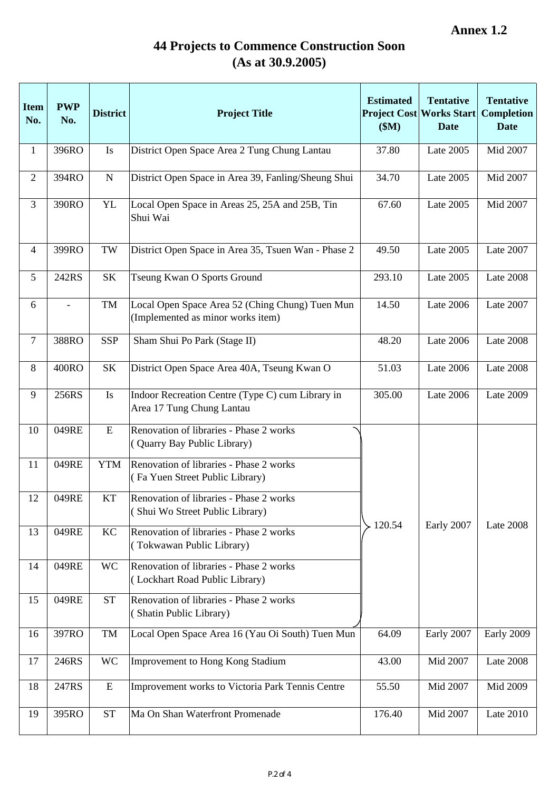# **44 Projects to Commence Construction Soon (As at 30.9.2005)**

| <b>Item</b><br>No. | <b>PWP</b><br>No. | <b>District</b>     | <b>Project Title</b>                                                                 | <b>Estimated</b><br>\$M) | <b>Tentative</b><br><b>Project Cost Works Start</b><br><b>Date</b> | <b>Tentative</b><br><b>Completion</b><br><b>Date</b> |
|--------------------|-------------------|---------------------|--------------------------------------------------------------------------------------|--------------------------|--------------------------------------------------------------------|------------------------------------------------------|
| $\mathbf{1}$       | 396RO             | Is                  | District Open Space Area 2 Tung Chung Lantau                                         | 37.80                    | Late 2005                                                          | Mid 2007                                             |
| $\mathbf{2}$       | 394RO             | $\mathbf N$         | District Open Space in Area 39, Fanling/Sheung Shui                                  | 34.70                    | Late 2005                                                          | Mid 2007                                             |
| 3                  | 390RO             | YL                  | Local Open Space in Areas 25, 25A and 25B, Tin<br>Shui Wai                           | 67.60                    | Late 2005                                                          | Mid 2007                                             |
| $\overline{4}$     | 399RO             | $\operatorname{TW}$ | District Open Space in Area 35, Tsuen Wan - Phase 2                                  | 49.50                    | Late 2005                                                          | Late 2007                                            |
| 5                  | 242RS             | <b>SK</b>           | Tseung Kwan O Sports Ground                                                          | 293.10                   | Late 2005                                                          | Late 2008                                            |
| 6                  |                   | TM                  | Local Open Space Area 52 (Ching Chung) Tuen Mun<br>(Implemented as minor works item) | 14.50                    | Late 2006                                                          | Late 2007                                            |
| $\tau$             | 388RO             | <b>SSP</b>          | Sham Shui Po Park (Stage II)                                                         | 48.20                    | <b>Late 2006</b>                                                   | <b>Late 2008</b>                                     |
| 8                  | 400RO             | <b>SK</b>           | District Open Space Area 40A, Tseung Kwan O                                          | 51.03                    | Late 2006                                                          | Late 2008                                            |
| 9                  | 256RS             | Is                  | Indoor Recreation Centre (Type C) cum Library in<br>Area 17 Tung Chung Lantau        | 305.00                   | Late 2006                                                          | Late 2009                                            |
| 10                 | 049RE             | ${\bf E}$           | Renovation of libraries - Phase 2 works<br>(Quarry Bay Public Library)               |                          |                                                                    |                                                      |
| 11                 | 049RE             | <b>YTM</b>          | Renovation of libraries - Phase 2 works<br>(Fa Yuen Street Public Library)           |                          |                                                                    |                                                      |
| 12                 | 049RE             | <b>KT</b>           | Renovation of libraries - Phase 2 works<br>Shui Wo Street Public Library)            |                          |                                                                    |                                                      |
| 13                 | 049RE             | KC                  | Renovation of libraries - Phase 2 works<br>(Tokwawan Public Library)                 | 120.54                   | Early 2007                                                         | Late 2008                                            |
| 14                 | 049RE             | <b>WC</b>           | Renovation of libraries - Phase 2 works<br>(Lockhart Road Public Library)            |                          |                                                                    |                                                      |
| 15                 | 049RE             | <b>ST</b>           | Renovation of libraries - Phase 2 works<br>(Shatin Public Library)                   |                          |                                                                    |                                                      |
| 16                 | 397RO             | TM                  | Local Open Space Area 16 (Yau Oi South) Tuen Mun                                     | 64.09                    | Early 2007                                                         | Early 2009                                           |
| 17                 | 246RS             | <b>WC</b>           | Improvement to Hong Kong Stadium                                                     | 43.00                    | Mid 2007                                                           | Late 2008                                            |
| 18                 | 247RS             | E                   | Improvement works to Victoria Park Tennis Centre                                     | 55.50                    | Mid 2007                                                           | Mid 2009                                             |
| 19                 | 395RO             | <b>ST</b>           | Ma On Shan Waterfront Promenade                                                      | 176.40                   | Mid 2007                                                           | Late 2010                                            |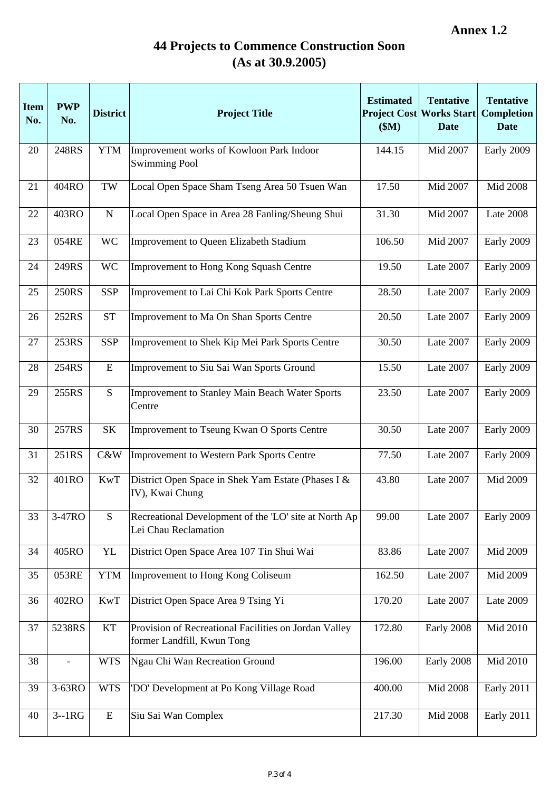# **44 Projects to Commence Construction Soon (As at 30.9.2005)**

| <b>Item</b><br>No. | <b>PWP</b><br>No. | <b>District</b>     | <b>Project Title</b>                                                                | <b>Estimated</b><br>\$M\$ | <b>Tentative</b><br><b>Project Cost Works Start</b><br><b>Date</b> | <b>Tentative</b><br><b>Completion</b><br><b>Date</b> |
|--------------------|-------------------|---------------------|-------------------------------------------------------------------------------------|---------------------------|--------------------------------------------------------------------|------------------------------------------------------|
| 20                 | 248RS             | <b>YTM</b>          | Improvement works of Kowloon Park Indoor<br><b>Swimming Pool</b>                    | 144.15                    | Mid 2007                                                           | Early 2009                                           |
| 21                 | 404RO             | $\operatorname{TW}$ | Local Open Space Sham Tseng Area 50 Tsuen Wan                                       | 17.50                     | Mid 2007                                                           | <b>Mid 2008</b>                                      |
| 22                 | 403RO             | ${\bf N}$           | Local Open Space in Area 28 Fanling/Sheung Shui                                     | 31.30                     | Mid 2007                                                           | Late 2008                                            |
| 23                 | 054RE             | <b>WC</b>           | Improvement to Queen Elizabeth Stadium                                              | 106.50                    | Mid 2007                                                           | Early 2009                                           |
| 24                 | 249RS             | <b>WC</b>           | <b>Improvement to Hong Kong Squash Centre</b>                                       | 19.50                     | Late 2007                                                          | Early 2009                                           |
| 25                 | 250RS             | <b>SSP</b>          | Improvement to Lai Chi Kok Park Sports Centre                                       | 28.50                     | Late 2007                                                          | Early 2009                                           |
| 26                 | 252RS             | <b>ST</b>           | Improvement to Ma On Shan Sports Centre                                             | 20.50                     | Late 2007                                                          | Early 2009                                           |
| 27                 | 253RS             | <b>SSP</b>          | Improvement to Shek Kip Mei Park Sports Centre                                      | 30.50                     | Late 2007                                                          | Early 2009                                           |
| 28                 | 254RS             | ${\bf E}$           | Improvement to Siu Sai Wan Sports Ground                                            | 15.50                     | Late 2007                                                          | Early 2009                                           |
| 29                 | 255RS             | S                   | <b>Improvement to Stanley Main Beach Water Sports</b><br>Centre                     | 23.50                     | Late 2007                                                          | Early 2009                                           |
| 30                 | 257RS             | <b>SK</b>           | Improvement to Tseung Kwan O Sports Centre                                          | 30.50                     | Late 2007                                                          | Early 2009                                           |
| 31                 | 251RS             | C&W                 | <b>Improvement to Western Park Sports Centre</b>                                    | 77.50                     | Late 2007                                                          | Early 2009                                           |
| 32                 | 401RO             | <b>KwT</b>          | District Open Space in Shek Yam Estate (Phases I &<br>IV), Kwai Chung               | 43.80                     | Late 2007                                                          | Mid 2009                                             |
| 33                 | 3-47RO            | S                   | Recreational Development of the 'LO' site at North Ap<br>Lei Chau Reclamation       | 99.00                     | Late 2007                                                          | Early 2009                                           |
| 34                 | 405RO             | YL                  | District Open Space Area 107 Tin Shui Wai                                           | 83.86                     | Late 2007                                                          | Mid 2009                                             |
| 35                 | 053RE             | <b>YTM</b>          | Improvement to Hong Kong Coliseum                                                   | 162.50                    | Late 2007                                                          | Mid 2009                                             |
| 36                 | 402RO             | <b>KwT</b>          | District Open Space Area 9 Tsing Yi                                                 | 170.20                    | Late 2007                                                          | Late 2009                                            |
| 37                 | 5238RS            | KT                  | Provision of Recreational Facilities on Jordan Valley<br>former Landfill, Kwun Tong | 172.80                    | Early 2008                                                         | Mid 2010                                             |
| 38                 | $\blacksquare$    | <b>WTS</b>          | Ngau Chi Wan Recreation Ground                                                      | 196.00                    | Early 2008                                                         | Mid 2010                                             |
| 39                 | 3-63RO            | <b>WTS</b>          | 'DO' Development at Po Kong Village Road                                            | 400.00                    | Mid 2008                                                           | Early 2011                                           |
| 40                 | $3-1RG$           | E                   | Siu Sai Wan Complex                                                                 | 217.30                    | Mid 2008                                                           | Early 2011                                           |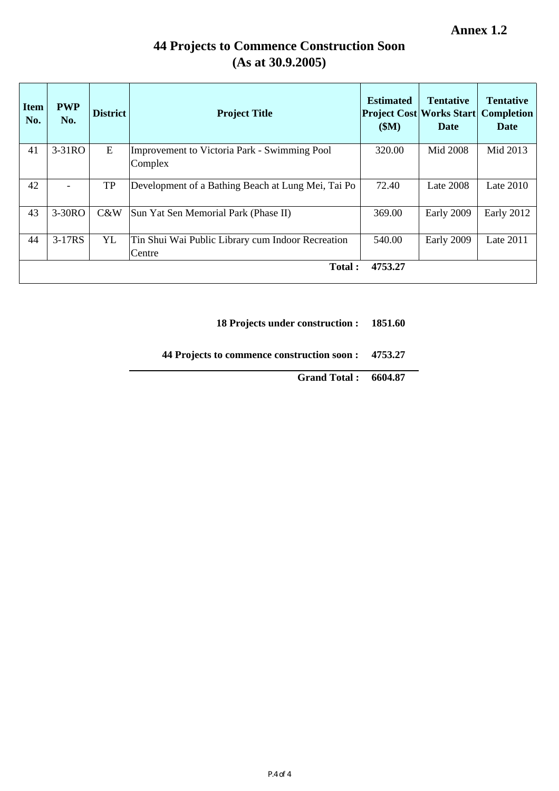**Annex 1.2**

## **44 Projects to Commence Construction Soon (As at 30.9.2005)**

| <b>Item</b><br>No. | <b>PWP</b><br>No. | <b>District</b> | <b>Project Title</b>                                           | <b>Estimated</b><br>\$M) | <b>Tentative</b><br><b>Project Cost Works Start</b><br><b>Date</b> | <b>Tentative</b><br><b>Completion</b><br><b>Date</b> |
|--------------------|-------------------|-----------------|----------------------------------------------------------------|--------------------------|--------------------------------------------------------------------|------------------------------------------------------|
| 41                 | $3-31RO$          | E               | <b>Improvement to Victoria Park - Swimming Pool</b><br>Complex | 320.00                   | Mid 2008                                                           | Mid 2013                                             |
| 42                 |                   | TP              | Development of a Bathing Beach at Lung Mei, Tai Po             | 72.40                    | Late 2008                                                          | <b>Late 2010</b>                                     |
| 43                 | 3-30RO            | C&W             | Sun Yat Sen Memorial Park (Phase II)                           | 369.00                   | Early 2009                                                         | Early 2012                                           |
| 44                 | $3-17RS$          | YL              | Tin Shui Wai Public Library cum Indoor Recreation<br>Centre    | 540.00                   | Early 2009                                                         | Late 2011                                            |
|                    |                   |                 | <b>Total:</b>                                                  | 4753.27                  |                                                                    |                                                      |

#### **18 Projects under construction : 1851.60**

**44 Projects to commence construction soon : 4753.27**

**Grand Total : 6604.87**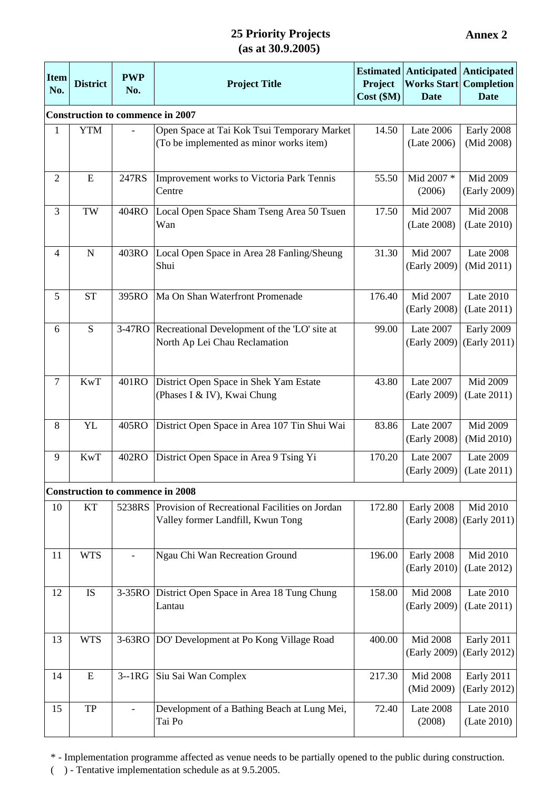### **25 Priority Projects (as at 30.9.2005)**

| <b>Item</b><br>No. | <b>District</b>      | <b>PWP</b><br>No. | <b>Project Title</b>                                                                   | <b>Estimated</b><br>Project<br>$Cost$ ( $M$ ) | Anticipated<br><b>Works Start</b><br><b>Date</b> | Anticipated<br><b>Completion</b><br><b>Date</b> |
|--------------------|----------------------|-------------------|----------------------------------------------------------------------------------------|-----------------------------------------------|--------------------------------------------------|-------------------------------------------------|
|                    |                      |                   | <b>Construction to commence in 2007</b>                                                |                                               |                                                  |                                                 |
| 1                  | <b>YTM</b>           |                   | Open Space at Tai Kok Tsui Temporary Market<br>(To be implemented as minor works item) | 14.50                                         | <b>Late 2006</b><br>(Late 2006)                  | Early 2008<br>(Mid 2008)                        |
| $\overline{2}$     | ${\bf E}$            | 247RS             | Improvement works to Victoria Park Tennis<br>Centre                                    | 55.50                                         | Mid 2007 *<br>(2006)                             | Mid 2009<br>(Early 2009)                        |
| 3                  | TW                   | 404RO             | Local Open Space Sham Tseng Area 50 Tsuen<br>Wan                                       | 17.50                                         | Mid 2007<br>(Late 2008)                          | <b>Mid 2008</b><br>(Late 2010)                  |
| $\overline{4}$     | $\mathbf N$          | 403RO             | Local Open Space in Area 28 Fanling/Sheung<br>Shui                                     | 31.30                                         | Mid 2007<br>(Early 2009)                         | Late 2008<br>(Mid 2011)                         |
| 5                  | <b>ST</b>            | 395RO             | Ma On Shan Waterfront Promenade                                                        | 176.40                                        | Mid 2007<br>(Early 2008)                         | Late 2010<br>(Late 2011)                        |
| 6                  | S                    | 3-47RO            | Recreational Development of the 'LO' site at<br>North Ap Lei Chau Reclamation          | 99.00                                         | Late 2007<br>(Early 2009)                        | Early 2009<br>(Early 2011)                      |
| $\tau$             | $\operatorname{KwT}$ | 401RO             | District Open Space in Shek Yam Estate<br>(Phases I & IV), Kwai Chung                  | 43.80                                         | Late 2007<br>(Early 2009)                        | Mid 2009<br>(Late 2011)                         |
| 8                  | <b>YL</b>            | 405RO             | District Open Space in Area 107 Tin Shui Wai                                           | 83.86                                         | Late 2007<br>(Early 2008)                        | Mid 2009<br>(Mid 2010)                          |
| 9                  | <b>KwT</b>           | 402RO             | District Open Space in Area 9 Tsing Yi                                                 | 170.20                                        | <b>Late 2007</b><br>(Early 2009)                 | Late 2009<br>(Late 2011)                        |
|                    |                      |                   | <b>Construction to commence in 2008</b>                                                |                                               |                                                  |                                                 |
| 10                 | KT                   | 5238RS            | Provision of Recreational Facilities on Jordan<br>Valley former Landfill, Kwun Tong    | 172.80                                        | Early 2008<br>(Early 2008)                       | Mid 2010<br>(Early 2011)                        |
| 11                 | <b>WTS</b>           |                   | Ngau Chi Wan Recreation Ground                                                         | 196.00                                        | Early 2008<br>(Early 2010)                       | Mid 2010<br>(Late 2012)                         |
| 12                 | IS                   | 3-35RO            | District Open Space in Area 18 Tung Chung<br>Lantau                                    | 158.00                                        | Mid 2008<br>(Early 2009)                         | <b>Late 2010</b><br>(Late 2011)                 |
| 13                 | <b>WTS</b>           | 3-63RO            | DO' Development at Po Kong Village Road                                                | 400.00                                        | Mid 2008<br>(Early 2009)                         | Early 2011<br>(Early 2012)                      |
| 14                 | ${\bf E}$            | $3-1RG$           | Siu Sai Wan Complex                                                                    | 217.30                                        | Mid 2008<br>(Mid 2009)                           | Early 2011<br>(Early 2012)                      |
| 15                 | ${\rm TP}$           |                   | Development of a Bathing Beach at Lung Mei,<br>Tai Po                                  | 72.40                                         | Late 2008<br>(2008)                              | Late 2010<br>(Late 2010)                        |

\* - Implementation programme affected as venue needs to be partially opened to the public during construction.

( ) - Tentative implementation schedule as at 9.5.2005.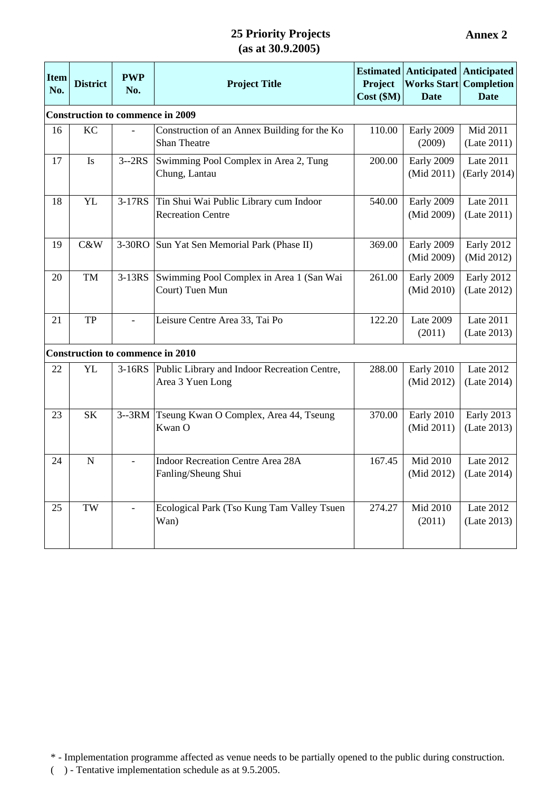#### **25 Priority Projects (as at 30.9.2005)**

| <b>Item</b><br>No. | <b>District</b> | <b>PWP</b><br>No. | <b>Project Title</b>                                                | Project<br>$Cost$ ( $M$ ) | <b>Estimated Anticipated Anticipated</b><br><b>Works Start</b><br><b>Date</b> | <b>Completion</b><br><b>Date</b> |
|--------------------|-----------------|-------------------|---------------------------------------------------------------------|---------------------------|-------------------------------------------------------------------------------|----------------------------------|
|                    |                 |                   | <b>Construction to commence in 2009</b>                             |                           |                                                                               |                                  |
| 16                 | KC              |                   | Construction of an Annex Building for the Ko<br><b>Shan Theatre</b> | 110.00                    | Early 2009<br>(2009)                                                          | Mid 2011<br>(Late 2011)          |
| 17                 | Is              | $3 - 2RS$         | Swimming Pool Complex in Area 2, Tung<br>Chung, Lantau              | 200.00                    | Early 2009<br>(Mid 2011)                                                      | Late 2011<br>(Early 2014)        |
| 18                 | <b>YL</b>       | 3-17RS            | Tin Shui Wai Public Library cum Indoor<br><b>Recreation Centre</b>  | 540.00                    | Early 2009<br>(Mid 2009)                                                      | Late 2011<br>(Late 2011)         |
| 19                 | C&W             | 3-30RO            | Sun Yat Sen Memorial Park (Phase II)                                | 369.00                    | Early 2009<br>(Mid 2009)                                                      | Early 2012<br>(Mid 2012)         |
| 20                 | TM              | 3-13RS            | Swimming Pool Complex in Area 1 (San Wai<br>Court) Tuen Mun         | 261.00                    | Early 2009<br>(Mid 2010)                                                      | Early 2012<br>(Late 2012)        |
| 21                 | <b>TP</b>       |                   | Leisure Centre Area 33, Tai Po                                      | 122.20                    | <b>Late 2009</b><br>(2011)                                                    | Late 2011<br>(Late 2013)         |
|                    |                 |                   | <b>Construction to commence in 2010</b>                             |                           |                                                                               |                                  |
| 22                 | <b>YL</b>       | $3-16RS$          | Public Library and Indoor Recreation Centre,<br>Area 3 Yuen Long    | 288.00                    | Early 2010<br>(Mid 2012)                                                      | Late 2012<br>(Late 2014)         |
| 23                 | <b>SK</b>       | $3-3RM$           | Tseung Kwan O Complex, Area 44, Tseung<br>Kwan O                    | 370.00                    | Early 2010<br>(Mid 2011)                                                      | Early 2013<br>(Late 2013)        |
| 24                 | $\mathbf N$     | $\overline{a}$    | <b>Indoor Recreation Centre Area 28A</b><br>Fanling/Sheung Shui     | 167.45                    | Mid 2010<br>(Mid 2012)                                                        | Late 2012<br>(Late 2014)         |
| 25                 | TW              |                   | Ecological Park (Tso Kung Tam Valley Tsuen<br>Wan)                  | 274.27                    | Mid 2010<br>(2011)                                                            | Late 2012<br>(Late 2013)         |

\* - Implementation programme affected as venue needs to be partially opened to the public during construction.

( ) - Tentative implementation schedule as at 9.5.2005.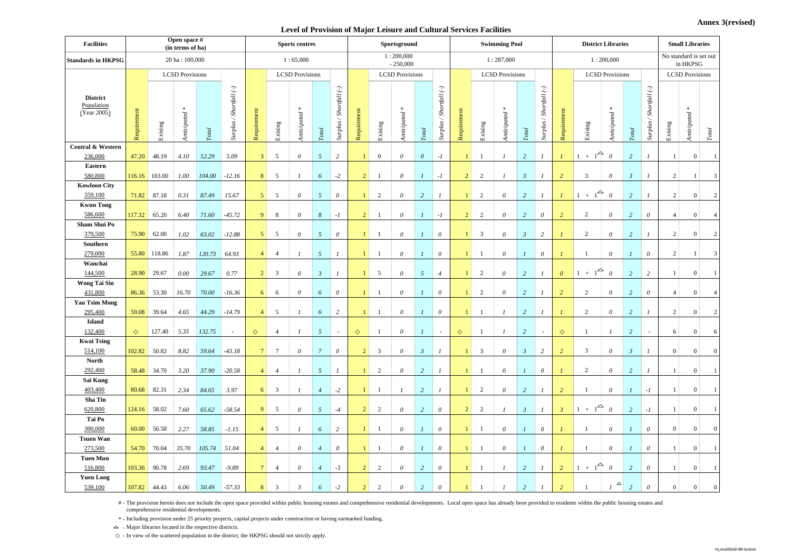#### **Level of Provision of Major Leisure and Cultural Services Facilities**

#### **Annex 3(revised)**

# - The provision herein does not include the open space provided within public housing estates and comprehensive residential developments. Local open space has already been provided to residents within the public housing comprehensive residential developments.

| <b>Facilities</b>                            | Open space #<br>(in terms of ha) |               |                        |                        | <b>Sports centres</b>    |                 |                 | Sportsground           |                        | <b>Swimming Pool</b>      |             |                 | <b>District Libraries</b> |                        |                              | <b>Small Libraries</b> |         |                                 |                        |                         |                        |                                    |                       |                        |                                                                               |                                    |                       |                        |
|----------------------------------------------|----------------------------------|---------------|------------------------|------------------------|--------------------------|-----------------|-----------------|------------------------|------------------------|---------------------------|-------------|-----------------|---------------------------|------------------------|------------------------------|------------------------|---------|---------------------------------|------------------------|-------------------------|------------------------|------------------------------------|-----------------------|------------------------|-------------------------------------------------------------------------------|------------------------------------|-----------------------|------------------------|
| <b>Standards in HKPSG</b>                    |                                  |               | 20 ha: 100,000         |                        |                          |                 |                 | 1:65,000               |                        |                           |             |                 | 1:200,000<br>$-250,000$   |                        |                              |                        |         | 1:287,000                       |                        |                         | 1:200,000              |                                    |                       |                        |                                                                               | No standard is set out<br>in HKPSG |                       |                        |
|                                              |                                  |               | <b>LCSD Provisions</b> |                        |                          |                 |                 | <b>LCSD Provisions</b> |                        |                           |             |                 | <b>LCSD Provisions</b>    |                        |                              |                        |         | <b>LCSD Provisions</b>          |                        |                         | <b>LCSD</b> Provisions |                                    |                       |                        | <b>LCSD Provisions</b>                                                        |                                    |                       |                        |
| <b>District</b><br>Population<br>(Year 2005) | Requirement                      | Exising       | $\ast$<br>Anticipated  | $\operatorname{Total}$ | Surplus / Shortfall (-)  | Requirement     | Exising         | $\ast$<br>Anticipated  | $\operatorname{Total}$ | Surplus / Shortfall (-)   | Requirement | Exising         | $\ast$<br>$Anticipated$ * | $\operatorname{Total}$ | / Shortfall $(-)$<br>Surplus | Requirement            | Exising | $\divideontimes$<br>Anticipated | $\operatorname{Total}$ | Surplus / Shortfall (-) | Requirement            | Exising                            | $\ast$<br>Anticipated | $\operatorname{Total}$ | $\label{eq:shortall} \textit{Shortfall}~(\text{-})$<br>$\diagdown$<br>Surplus | Exising                            | $\ast$<br>Anticipated | $\operatorname{Total}$ |
| <b>Central &amp; Western</b><br>236,000      | 47.20                            | 48.19         | 4.10                   | 52.29                  | 5.09                     | $\mathbf{3}$    | $\overline{5}$  | $\theta$               | $5\overline{)}$        | 2                         |             | $\overline{0}$  | $\theta$                  | $\theta$               | $-I$                         |                        |         | $\boldsymbol{l}$                | $\overline{2}$         |                         |                        | $+$                                | $\theta$              | 2                      | $\mathcal{I}$                                                                 | $\mathbf{1}$                       | $\overline{0}$        |                        |
| Eastern                                      |                                  |               |                        |                        |                          |                 |                 |                        |                        |                           |             |                 |                           |                        |                              |                        |         |                                 |                        |                         |                        |                                    |                       |                        |                                                                               |                                    |                       |                        |
| 580,800                                      | $116.16$ 103.00                  |               | 1.00                   | 104.00                 | $-12.16$                 | 8               | $5\overline{)}$ |                        | 6                      | $-2$                      | 2           |                 | $\theta$                  |                        | $-l$                         | $\overline{2}$         | 2       |                                 | $\mathfrak{Z}$         |                         | $\overline{2}$         | 3                                  | $\theta$              | $\mathfrak{Z}$         |                                                                               | 2                                  |                       | $\mathfrak{Z}$         |
| <b>Kowloon City</b>                          |                                  |               |                        |                        |                          |                 |                 |                        |                        |                           |             |                 |                           |                        |                              |                        |         |                                 |                        |                         |                        |                                    |                       |                        |                                                                               |                                    |                       |                        |
| 359,100<br><b>Kwun Tong</b>                  | 71.82                            | 87.18         | 0.31                   | 87.49                  | 15.67                    | $\overline{5}$  | $5\overline{)}$ | 0                      | $\overline{5}$         | $\boldsymbol{\mathit{0}}$ |             | 2               | 0                         | $\overline{2}$         |                              |                        | 2       | $\theta$                        | $\overline{2}$         |                         |                        | $+$                                | $\theta$              | $\overline{2}$         |                                                                               | 2                                  | $\overline{0}$        | $\overline{2}$         |
| 586,600                                      | 117.32                           | 65.20         | 6.40                   | 71.60                  | $-45.72$                 | 9               | 8               | $\theta$               | $\boldsymbol{8}$       | $-1$                      | 2           |                 | $\theta$                  |                        | $-I$                         | $\overline{2}$         | 2       | $\theta$                        | $\overline{2}$         | $\theta$                | $\overline{2}$         | $\overline{c}$                     | $\theta$              | 2                      | $\theta$                                                                      | $\overline{4}$                     | $\boldsymbol{0}$      | $\overline{4}$         |
| Sham Shui Po                                 |                                  |               |                        |                        |                          |                 |                 |                        |                        |                           |             |                 |                           |                        |                              |                        |         |                                 |                        |                         |                        |                                    |                       |                        |                                                                               |                                    |                       |                        |
| 379,500                                      | 75.90                            | 62.00         | $1.02\,$               | 63.02                  | $-12.88$                 | 5 <sup>5</sup>  | $\overline{5}$  | $\theta$               | $\overline{5}$         | $\theta$                  |             |                 | $\theta$                  |                        | $\theta$                     |                        | 3       | $\theta$                        | $\mathfrak{Z}$         | 2                       |                        | 2                                  | $\theta$              | $\overline{2}$         |                                                                               | $\overline{2}$                     | $\boldsymbol{0}$      | 2                      |
| Southern<br>279,000                          | 55.80                            | 118.86        | 1.87                   | 120.73                 | 64.93                    | $\overline{4}$  | $\overline{4}$  |                        | 5                      | $\overline{1}$            |             | 1               | $\theta$                  |                        | $\theta$                     | $\mathbf{1}$           |         | $\theta$                        | $\mathcal{I}$          | $\theta$                |                        |                                    | $\theta$              |                        | $\theta$                                                                      | $\overline{2}$                     |                       | 3 <sup>1</sup>         |
| Wanchai                                      |                                  |               |                        |                        |                          |                 |                 |                        |                        |                           |             |                 |                           |                        |                              |                        |         |                                 |                        |                         |                        |                                    |                       |                        |                                                                               |                                    |                       |                        |
| 144,500                                      | 28.90                            | 29.67         | $0.00\,$               | 29.67                  | 0.77                     | $\overline{2}$  | $\overline{3}$  | $\theta$               | $\mathfrak{Z}$         | $\boldsymbol{\mathit{1}}$ |             | $5\overline{)}$ | $\theta$                  | $\mathfrak{I}$         | $\overline{4}$               |                        | 2       | $\theta$                        | $\overline{2}$         |                         | $\theta$               | $+$                                | $\theta$              | $\overline{c}$         | $\overline{2}$                                                                | $\mathbf{1}$                       | $\overline{0}$        | $\vert$ 1              |
| <b>Wong Tai Sin</b><br>431,800               |                                  | 86.36 53.30   | 16.70                  | 70.00                  | $-16.36$                 | 6               | 6               | $\theta$               | 6                      | $\theta$                  |             |                 | $\theta$                  |                        | $\theta$                     |                        | 2       | $\theta$                        | $\overline{2}$         |                         | $\overline{2}$         | $\overline{c}$                     | $\theta$              | $\overline{2}$         | $\theta$                                                                      | $\overline{4}$                     | $\overline{0}$        | $\overline{4}$         |
| <b>Yau Tsim Mong</b>                         |                                  |               |                        |                        |                          |                 |                 |                        |                        |                           |             |                 |                           |                        |                              |                        |         |                                 |                        |                         |                        |                                    |                       |                        |                                                                               |                                    |                       |                        |
| 295,400                                      | 59.08                            | 39.64         | 4.65                   | 44.29                  | $-14.79$                 | $\overline{4}$  | $\overline{5}$  |                        | 6                      | $\sqrt{2}$                |             |                 | $\theta$                  |                        | $\theta$                     |                        |         | $\boldsymbol{l}$                | $\overline{2}$         |                         |                        | 2                                  | $\theta$              | $\overline{2}$         |                                                                               | 2                                  | $\overline{0}$        | $\overline{2}$         |
| <b>Island</b>                                |                                  |               |                        |                        |                          |                 |                 |                        |                        |                           |             |                 |                           |                        |                              |                        |         |                                 |                        |                         |                        |                                    |                       |                        |                                                                               |                                    |                       |                        |
| 132,400<br><b>Kwai Tsing</b>                 |                                  | 127.40        | 5.35                   | 132.75                 | $\overline{\phantom{a}}$ |                 | $\overline{4}$  |                        | $\overline{5}$         | $\sim$                    |             |                 | $\theta$                  |                        | $\overline{\phantom{a}}$     |                        |         |                                 | $\overline{c}$         |                         |                        |                                    | $\boldsymbol{l}$      | $\overline{2}$         | $\sim$                                                                        | 6                                  | $\vert 0 \vert$       | 6                      |
| 514,100                                      | 102.82                           | 50.82         | 8.82                   | 59.64                  | $-43.18$                 | $7\phantom{.0}$ | $7\phantom{.0}$ | $\theta$               | $\overline{7}$         | $\theta$                  | 2           | $\overline{3}$  | $\theta$                  | $\mathfrak{Z}$         |                              | $\mathbf{1}$           | 3       | $\theta$                        | $\mathfrak{Z}$         | 2                       | $\overline{2}$         | 3                                  | $\theta$              | $\mathfrak{Z}$         |                                                                               | $\boldsymbol{0}$                   | $\overline{0}$        | $\overline{0}$         |
| <b>North</b>                                 |                                  |               |                        |                        |                          |                 |                 |                        |                        |                           |             |                 |                           |                        |                              |                        |         |                                 |                        |                         |                        |                                    |                       |                        |                                                                               |                                    |                       |                        |
| 292,400                                      |                                  | 58.48 34.70   | 3.20                   | 37.90                  | $-20.58$                 | $\overline{4}$  | $\overline{4}$  |                        | $5\overline{)}$        | $\mathcal{I}$             |             | 2               | $\theta$                  | 2                      |                              |                        |         | $\theta$                        | $\mathcal{I}$          | $\theta$                |                        | $\overline{c}$                     | $\theta$              | $\overline{2}$         |                                                                               | $\mathbf{1}$                       | $\overline{0}$        | $\vert$ 1              |
| Sai Kung<br>403,400                          |                                  | 80.68 82.31   | 2.34                   | 84.65                  | 3.97                     | 6               | $\overline{3}$  |                        | $\overline{4}$         | $-2$                      |             |                 |                           | $\overline{2}$         |                              |                        | 2       | $\theta$                        | $\overline{2}$         |                         | <sup>2</sup>           |                                    | $\theta$              |                        | $-1$                                                                          | -1                                 | $\overline{0}$        |                        |
| <b>Sha Tin</b>                               |                                  |               |                        |                        |                          |                 |                 |                        |                        |                           |             |                 |                           |                        |                              |                        |         |                                 |                        |                         |                        |                                    |                       |                        |                                                                               |                                    |                       |                        |
| 620,800                                      | $124.16$ 58.02                   |               | 7.60                   | 65.62                  | $-58.54$                 | 9               | 5               | $\theta$               | $5\overline{)}$        | $-4$                      | 2           | 2               | $\theta$                  | $\overline{2}$         | $\theta$                     | $\overline{2}$         | 2       | $\overline{1}$                  | $\mathfrak{Z}$         | $\boldsymbol{l}$        | $\boldsymbol{\beta}$   | $1 + 1^{\textstyle\bigtriangleup}$ | $\theta$              | $\overline{2}$         | $-1$                                                                          | 1                                  | $\overline{0}$        | $\vert$ 1              |
| Tai Po                                       |                                  |               |                        |                        |                          |                 |                 |                        |                        |                           |             |                 |                           |                        |                              |                        |         |                                 |                        |                         |                        |                                    |                       |                        |                                                                               |                                    |                       |                        |
| 300,000<br><b>Tsuen Wan</b>                  |                                  | $60.00$ 56.58 | 2.27                   | 58.85                  | $-1.15$                  | $\overline{4}$  | $5\overline{)}$ |                        | 6                      | $\overline{c}$            |             |                 | $\theta$                  |                        | $\theta$                     |                        |         | $\theta$                        |                        | $\theta$                |                        |                                    | $\theta$              |                        | $\theta$                                                                      | $\overline{0}$                     | $\overline{0}$        | $\overline{0}$         |
| 273,500                                      |                                  | 54.70 70.04   | 35.70                  | 105.74                 | 51.04                    | $\overline{4}$  | $\overline{4}$  | $\theta$               | $\overline{4}$         | $\theta$                  |             |                 | $\theta$                  |                        | $\theta$                     |                        |         | $\theta$                        |                        | $\theta$                |                        |                                    | $\theta$              |                        | $\theta$                                                                      | $\overline{1}$                     | $\mathbf{0}$          | $\vert 1 \vert$        |
| <b>Tuen Mun</b>                              |                                  |               |                        |                        |                          |                 |                 |                        |                        |                           |             |                 |                           |                        |                              |                        |         |                                 |                        |                         |                        |                                    |                       |                        |                                                                               |                                    |                       |                        |
| 516,800                                      | $103.36$ 90.78                   |               | 2.69                   | 93.47                  | $-9.89$                  | 7 <sup>1</sup>  | $\overline{4}$  | $\theta$               | $\overline{4}$         | $-3$                      | 2           | 2               | $\theta$                  | $\overline{2}$         | $\theta$                     | $\mathbf{1}$           |         | $\mathbf{I}$                    | $\overline{2}$         |                         | $\overline{2}$         | $1 + 1^2$                          | $\theta$              | $\overline{2}$         | $\theta$                                                                      | $\mathbf{1}$                       | $\overline{0}$        | $\vert$ 1              |
| <b>Yuen Long</b>                             |                                  |               |                        |                        |                          |                 |                 |                        |                        |                           |             |                 |                           |                        |                              |                        |         |                                 |                        |                         |                        |                                    | △                     |                        |                                                                               |                                    |                       |                        |
| 539,100                                      | $107.82$ 44.43                   |               | 6.06                   | 50.49                  | $-57.33$                 | 8               | $\overline{3}$  | $\mathfrak{Z}$         | 6                      | $-2$                      | 2           | 2               | $\theta$                  | $\overline{2}$         | $\theta$                     |                        |         |                                 | $\overline{2}$         |                         | $\overline{2}$         |                                    |                       | $\overline{2}$         | $\theta$                                                                      | $\overline{0}$                     | 0                     | $\overline{0}$         |

- In view of the scattered population in the district, the HKPSG should not strictly apply.

\* - Including provision under 25 priority projects, capital projects under construction or having earmarked funding.

- Major libraries located in the respective districts.